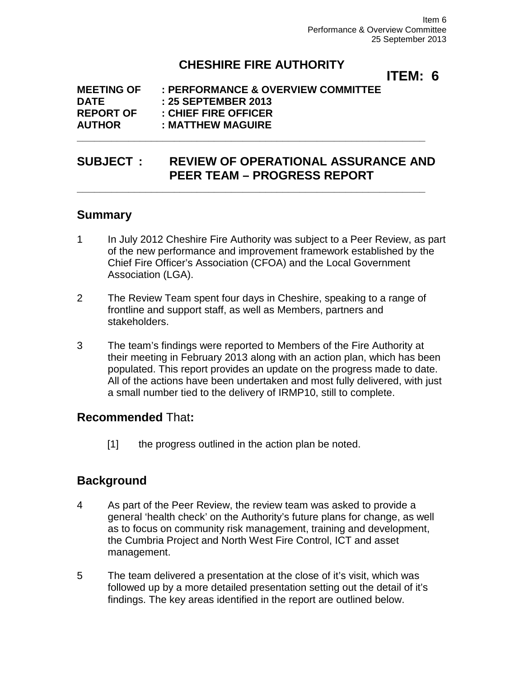# **CHESHIRE FIRE AUTHORITY**

**ITEM: 6**

#### **MEETING OF : PERFORMANCE & OVERVIEW COMMITTEE DATE : 25 SEPTEMBER 2013 REPORT OF : CHIEF FIRE OFFICER AUTHOR : MATTHEW MAGUIRE**

## **SUBJECT : REVIEW OF OPERATIONAL ASSURANCE AND PEER TEAM – PROGRESS REPORT**

**\_\_\_\_\_\_\_\_\_\_\_\_\_\_\_\_\_\_\_\_\_\_\_\_\_\_\_\_\_\_\_\_\_\_\_\_\_\_\_\_\_\_\_\_\_\_\_\_\_\_\_\_\_\_\_\_\_\_\_\_\_**

**\_\_\_\_\_\_\_\_\_\_\_\_\_\_\_\_\_\_\_\_\_\_\_\_\_\_\_\_\_\_\_\_\_\_\_\_\_\_\_\_\_\_\_\_\_\_\_\_\_\_\_\_\_\_\_\_\_\_\_\_\_**

## **Summary**

- 1 In July 2012 Cheshire Fire Authority was subject to a Peer Review, as part of the new performance and improvement framework established by the Chief Fire Officer's Association (CFOA) and the Local Government Association (LGA).
- 2 The Review Team spent four days in Cheshire, speaking to a range of frontline and support staff, as well as Members, partners and stakeholders.
- 3 The team's findings were reported to Members of the Fire Authority at their meeting in February 2013 along with an action plan, which has been populated. This report provides an update on the progress made to date. All of the actions have been undertaken and most fully delivered, with just a small number tied to the delivery of IRMP10, still to complete.

## **Recommended** That**:**

[1] the progress outlined in the action plan be noted.

## **Background**

- 4 As part of the Peer Review, the review team was asked to provide a general 'health check' on the Authority's future plans for change, as well as to focus on community risk management, training and development, the Cumbria Project and North West Fire Control, ICT and asset management.
- 5 The team delivered a presentation at the close of it's visit, which was followed up by a more detailed presentation setting out the detail of it's findings. The key areas identified in the report are outlined below.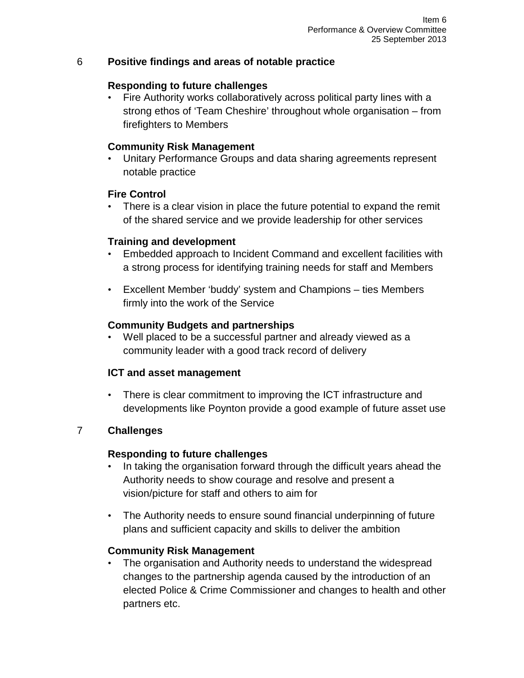#### 6 **Positive findings and areas of notable practice**

#### **Responding to future challenges**

• Fire Authority works collaboratively across political party lines with a strong ethos of 'Team Cheshire' throughout whole organisation – from firefighters to Members

### **Community Risk Management**

• Unitary Performance Groups and data sharing agreements represent notable practice

#### **Fire Control**

There is a clear vision in place the future potential to expand the remit of the shared service and we provide leadership for other services

#### **Training and development**

- Embedded approach to Incident Command and excellent facilities with a strong process for identifying training needs for staff and Members
- Excellent Member 'buddy' system and Champions ties Members firmly into the work of the Service

#### **Community Budgets and partnerships**

Well placed to be a successful partner and already viewed as a community leader with a good track record of delivery

#### **ICT and asset management**

There is clear commitment to improving the ICT infrastructure and developments like Poynton provide a good example of future asset use

### 7 **Challenges**

#### **Responding to future challenges**

- In taking the organisation forward through the difficult years ahead the Authority needs to show courage and resolve and present a vision/picture for staff and others to aim for
- The Authority needs to ensure sound financial underpinning of future plans and sufficient capacity and skills to deliver the ambition

### **Community Risk Management**

The organisation and Authority needs to understand the widespread changes to the partnership agenda caused by the introduction of an elected Police & Crime Commissioner and changes to health and other partners etc.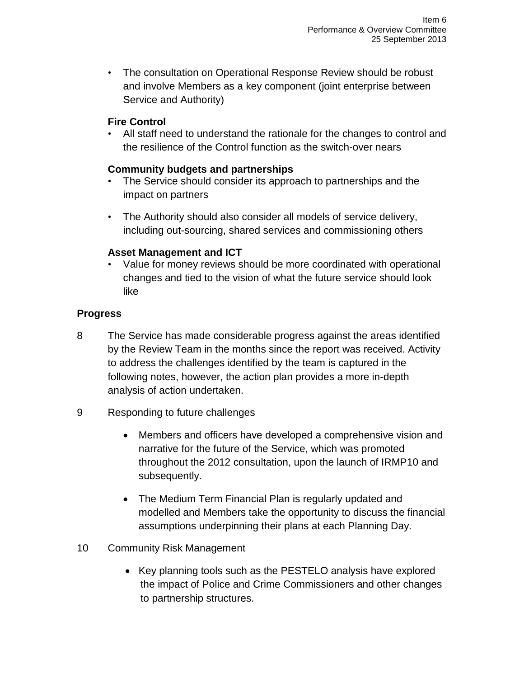• The consultation on Operational Response Review should be robust and involve Members as a key component (joint enterprise between Service and Authority)

### **Fire Control**

• All staff need to understand the rationale for the changes to control and the resilience of the Control function as the switch-over nears

### **Community budgets and partnerships**

- The Service should consider its approach to partnerships and the impact on partners
- The Authority should also consider all models of service delivery, including out-sourcing, shared services and commissioning others

## **Asset Management and ICT**

• Value for money reviews should be more coordinated with operational changes and tied to the vision of what the future service should look like

## **Progress**

- 8 The Service has made considerable progress against the areas identified by the Review Team in the months since the report was received. Activity to address the challenges identified by the team is captured in the following notes, however, the action plan provides a more in-depth analysis of action undertaken.
- 9 Responding to future challenges
	- Members and officers have developed a comprehensive vision and narrative for the future of the Service, which was promoted throughout the 2012 consultation, upon the launch of IRMP10 and subsequently.
	- The Medium Term Financial Plan is regularly updated and modelled and Members take the opportunity to discuss the financial assumptions underpinning their plans at each Planning Day.
- 10 Community Risk Management
	- Key planning tools such as the PESTELO analysis have explored the impact of Police and Crime Commissioners and other changes to partnership structures.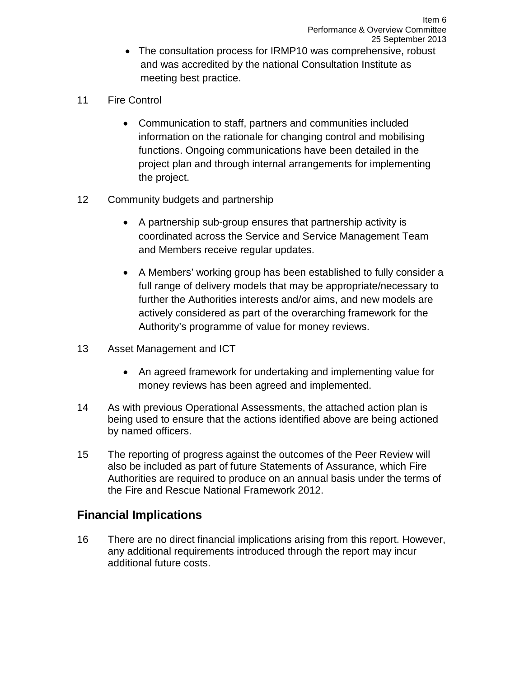- The consultation process for IRMP10 was comprehensive, robust and was accredited by the national Consultation Institute as meeting best practice.
- 11 Fire Control
	- Communication to staff, partners and communities included information on the rationale for changing control and mobilising functions. Ongoing communications have been detailed in the project plan and through internal arrangements for implementing the project.
- 12 Community budgets and partnership
	- A partnership sub-group ensures that partnership activity is coordinated across the Service and Service Management Team and Members receive regular updates.
	- A Members' working group has been established to fully consider a full range of delivery models that may be appropriate/necessary to further the Authorities interests and/or aims, and new models are actively considered as part of the overarching framework for the Authority's programme of value for money reviews.
- 13 Asset Management and ICT
	- An agreed framework for undertaking and implementing value for money reviews has been agreed and implemented.
- 14 As with previous Operational Assessments, the attached action plan is being used to ensure that the actions identified above are being actioned by named officers.
- 15 The reporting of progress against the outcomes of the Peer Review will also be included as part of future Statements of Assurance, which Fire Authorities are required to produce on an annual basis under the terms of the Fire and Rescue National Framework 2012.

## **Financial Implications**

16 There are no direct financial implications arising from this report. However, any additional requirements introduced through the report may incur additional future costs.